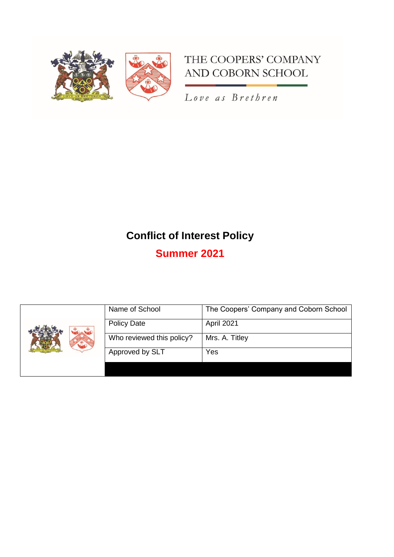

## THE COOPERS' COMPANY AND COBORN SCHOOL

Love as Brethren

# **Conflict of Interest Policy**

# **Summer 2021**

|  | Name of School            | The Coopers' Company and Coborn School |
|--|---------------------------|----------------------------------------|
|  | <b>Policy Date</b>        | April 2021                             |
|  | Who reviewed this policy? | Mrs. A. Titley                         |
|  | Approved by SLT           | Yes                                    |
|  |                           |                                        |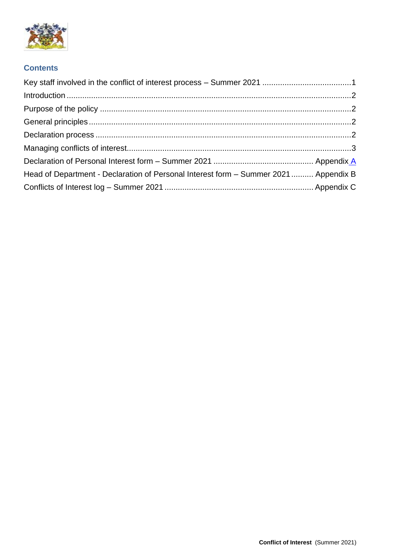

### **Contents**

| Head of Department - Declaration of Personal Interest form - Summer 2021 Appendix B |  |
|-------------------------------------------------------------------------------------|--|
|                                                                                     |  |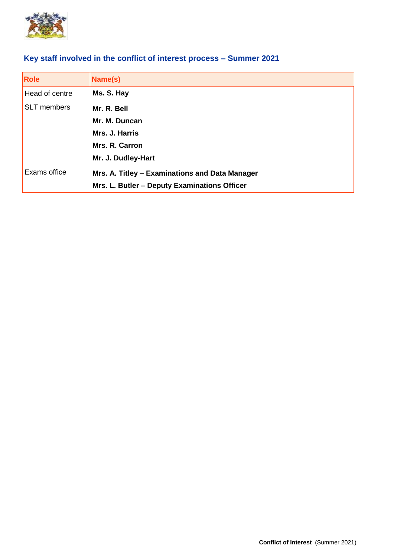

| <b>Role</b>        | Name(s)                                        |
|--------------------|------------------------------------------------|
| Head of centre     | Ms. S. Hay                                     |
| <b>SLT</b> members | Mr. R. Bell                                    |
|                    | Mr. M. Duncan                                  |
|                    | Mrs. J. Harris                                 |
|                    | Mrs. R. Carron                                 |
|                    | Mr. J. Dudley-Hart                             |
| Exams office       | Mrs. A. Titley – Examinations and Data Manager |
|                    | Mrs. L. Butler - Deputy Examinations Officer   |

## <span id="page-2-0"></span>**Key staff involved in the conflict of interest process – Summer 2021**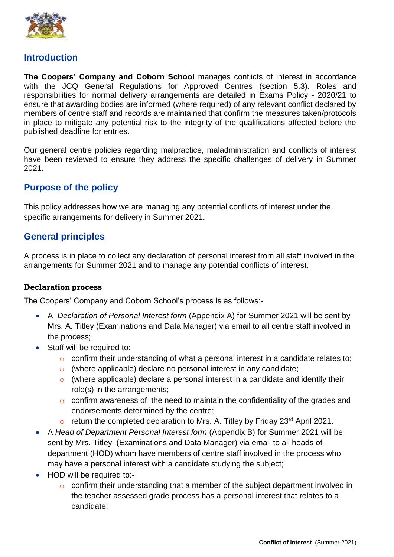

## <span id="page-3-0"></span>**Introduction**

**The Coopers' Company and Coborn School** manages conflicts of interest in accordance with the JCQ [General Regulations for Approved Centres](https://www.jcq.org.uk/exams-office/general-regulations/) (section 5.3). Roles and responsibilities for normal delivery arrangements are detailed in [Exams Policy -](https://www.cooperscoborn.org.uk/wp-content/uploads/2021/03/UPDATED-Exams-policy-V2.pdf) 2020/21 to ensure that awarding bodies are informed (where required) of any relevant conflict declared by members of centre staff and records are maintained that confirm the measures taken/protocols in place to mitigate any potential risk to the integrity of the qualifications affected before the published deadline for entries.

Our general centre policies regarding malpractice, maladministration and conflicts of interest have been reviewed to ensure they address the specific challenges of delivery in Summer 2021.

## <span id="page-3-1"></span>**Purpose of the policy**

This policy addresses how we are managing any potential conflicts of interest under the specific arrangements for delivery in Summer 2021.

## <span id="page-3-2"></span>**General principles**

A process is in place to collect any declaration of personal interest from all staff involved in the arrangements for Summer 2021 and to manage any potential conflicts of interest.

#### <span id="page-3-3"></span>**Declaration process**

The Coopers' Company and Coborn School's process is as follows:-

- A *Declaration of Personal Interest form* (Appendix A) for Summer 2021 will be sent by Mrs. A. Titley (Examinations and Data Manager) via email to all centre staff involved in the process;
- Staff will be required to:
	- o confirm their understanding of what a personal interest in a candidate relates to;
	- o (where applicable) declare no personal interest in any candidate;
	- $\circ$  (where applicable) declare a personal interest in a candidate and identify their role(s) in the arrangements;
	- o confirm awareness of the need to maintain the confidentiality of the grades and endorsements determined by the centre;
	- $\circ$  return the completed declaration to Mrs. A. Titley by Friday 23<sup>rd</sup> April 2021.
- A *Head of Department Personal Interest form* (Appendix B) for Summer 2021 will be sent by Mrs. Titley (Examinations and Data Manager) via email to all heads of department (HOD) whom have members of centre staff involved in the process who may have a personal interest with a candidate studying the subject;
- HOD will be required to:
	- o confirm their understanding that a member of the subject department involved in the teacher assessed grade process has a personal interest that relates to a candidate;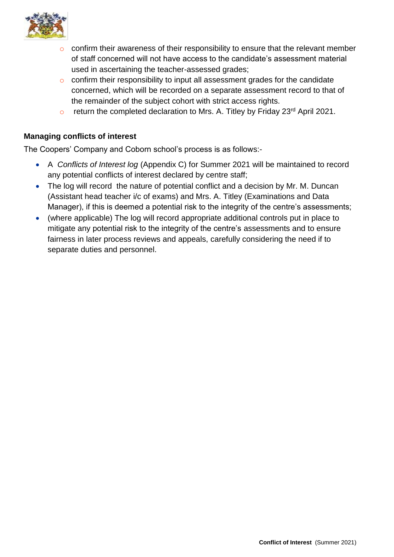

- o confirm their awareness of their responsibility to ensure that the relevant member of staff concerned will not have access to the candidate's assessment material used in ascertaining the teacher-assessed grades;
- o confirm their responsibility to input all assessment grades for the candidate concerned, which will be recorded on a separate assessment record to that of the remainder of the subject cohort with strict access rights.
- o return the completed declaration to Mrs. A. Titley by Friday 23<sup>rd</sup> April 2021.

#### <span id="page-4-0"></span>**Managing conflicts of interest**

The Coopers' Company and Coborn school's process is as follows:-

- A *Conflicts of Interest log* (Appendix C) for Summer 2021 will be maintained to record any potential conflicts of interest declared by centre staff;
- The log will record the nature of potential conflict and a decision by Mr. M. Duncan (Assistant head teacher i/c of exams) and Mrs. A. Titley (Examinations and Data Manager), if this is deemed a potential risk to the integrity of the centre's assessments;
- (where applicable) The log will record appropriate additional controls put in place to mitigate any potential risk to the integrity of the centre's assessments and to ensure fairness in later process reviews and appeals, carefully considering the need if to separate duties and personnel.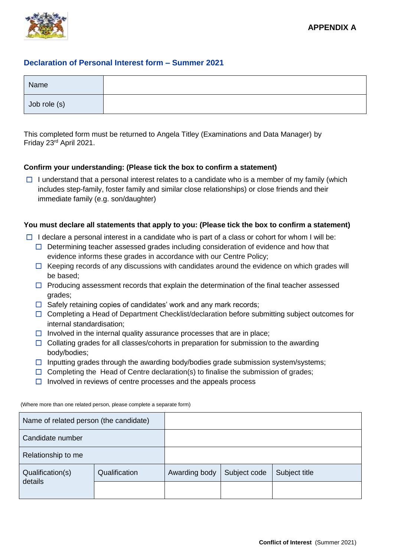

#### <span id="page-5-0"></span>**Declaration of Personal Interest form – Summer 2021**

| Name         |  |
|--------------|--|
| Job role (s) |  |

This completed form must be returned to Angela Titley (Examinations and Data Manager) by Friday 23rd April 2021.

#### **Confirm your understanding: (Please tick the box to confirm a statement)**

 $\Box$  I understand that a personal interest relates to a candidate who is a member of my family (which includes step-family, foster family and similar close relationships) or close friends and their immediate family (e.g. son/daughter)

#### **You must declare all statements that apply to you: (Please tick the box to confirm a statement)**

- $\Box$  I declare a personal interest in a candidate who is part of a class or cohort for whom I will be:
	- $\Box$  Determining teacher assessed grades including consideration of evidence and how that evidence informs these grades in accordance with our Centre Policy;
	- $\Box$  Keeping records of any discussions with candidates around the evidence on which grades will be based;
	- $\Box$  Producing assessment records that explain the determination of the final teacher assessed grades;
	- $\Box$  Safely retaining copies of candidates' work and any mark records;
	- $\Box$  Completing a Head of Department Checklist/declaration before submitting subject outcomes for internal standardisation;
	- $\Box$  Involved in the internal quality assurance processes that are in place;
	- $\Box$  Collating grades for all classes/cohorts in preparation for submission to the awarding body/bodies;
	- $\Box$  Inputting grades through the awarding body/bodies grade submission system/systems;
	- $\Box$  Completing the Head of Centre declaration(s) to finalise the submission of grades;
	- $\Box$  Involved in reviews of centre processes and the appeals process

(Where more than one related person, please complete a separate form)

| Name of related person (the candidate) |               |               |              |               |
|----------------------------------------|---------------|---------------|--------------|---------------|
| Candidate number                       |               |               |              |               |
| Relationship to me                     |               |               |              |               |
| Qualification(s)<br>details            | Qualification | Awarding body | Subject code | Subject title |
|                                        |               |               |              |               |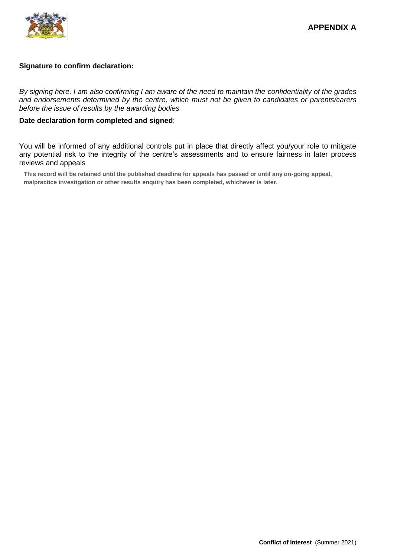

#### **Signature to confirm declaration:**

*By signing here, I am also confirming I am aware of the need to maintain the confidentiality of the grades and endorsements determined by the centre, which must not be given to candidates or parents/carers before the issue of results by the awarding bodies*

#### **Date declaration form completed and signed**:

You will be informed of any additional controls put in place that directly affect you/your role to mitigate any potential risk to the integrity of the centre's assessments and to ensure fairness in later process reviews and appeals

**This record will be retained until the published deadline for appeals has passed or until any on-going appeal, malpractice investigation or other results enquiry has been completed, whichever is later.**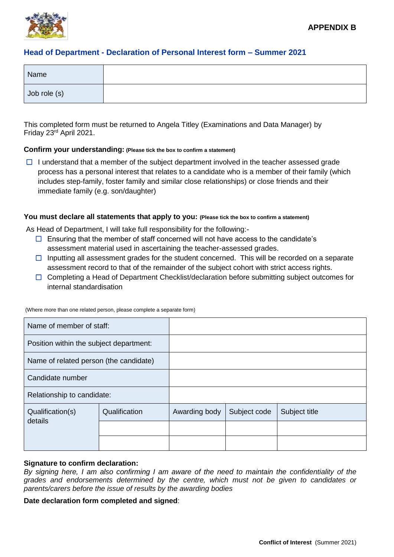

#### <span id="page-7-0"></span>**Head of Department - Declaration of Personal Interest form – Summer 2021**

| Name         |  |
|--------------|--|
| Job role (s) |  |

This completed form must be returned to Angela Titley (Examinations and Data Manager) by Friday 23rd April 2021.

#### **Confirm your understanding: (Please tick the box to confirm a statement)**

 $\Box$  I understand that a member of the subject department involved in the teacher assessed grade process has a personal interest that relates to a candidate who is a member of their family (which includes step-family, foster family and similar close relationships) or close friends and their immediate family (e.g. son/daughter)

#### **You must declare all statements that apply to you: (Please tick the box to confirm a statement)**

As Head of Department, I will take full responsibility for the following:-

- $\Box$  Ensuring that the member of staff concerned will not have access to the candidate's assessment material used in ascertaining the teacher-assessed grades.
- $\Box$  Inputting all assessment grades for the student concerned. This will be recorded on a separate assessment record to that of the remainder of the subject cohort with strict access rights.
- $\Box$  Completing a Head of Department Checklist/declaration before submitting subject outcomes for internal standardisation

| Name of member of staff:                |               |               |              |               |
|-----------------------------------------|---------------|---------------|--------------|---------------|
| Position within the subject department: |               |               |              |               |
| Name of related person (the candidate)  |               |               |              |               |
| Candidate number                        |               |               |              |               |
| Relationship to candidate:              |               |               |              |               |
| Qualification(s)<br>details             | Qualification | Awarding body | Subject code | Subject title |
|                                         |               |               |              |               |
|                                         |               |               |              |               |

(Where more than one related person, please complete a separate form)

#### **Signature to confirm declaration:**

*By signing here, I am also confirming I am aware of the need to maintain the confidentiality of the grades and endorsements determined by the centre, which must not be given to candidates or parents/carers before the issue of results by the awarding bodies*

#### **Date declaration form completed and signed**: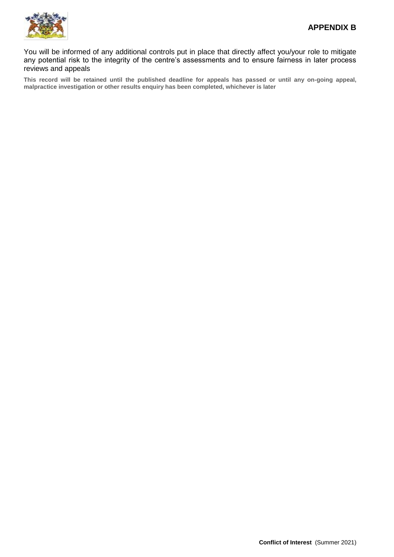

You will be informed of any additional controls put in place that directly affect you/your role to mitigate any potential risk to the integrity of the centre's assessments and to ensure fairness in later process reviews and appeals

**This record will be retained until the published deadline for appeals has passed or until any on-going appeal, malpractice investigation or other results enquiry has been completed, whichever is later**